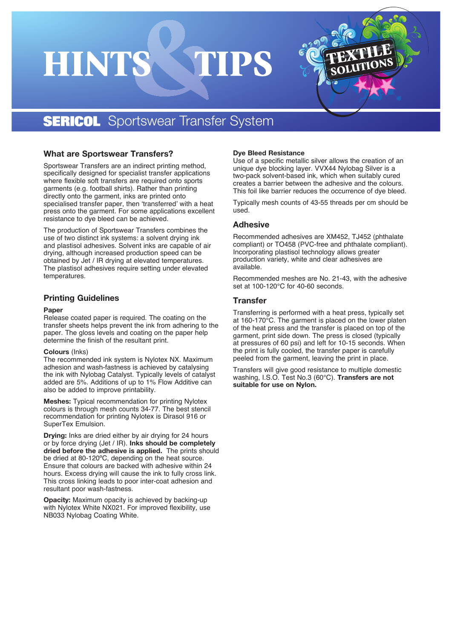# HINT



# **SERICOL** Sportswear Transfer System

### **What are Sportswear Transfers?**

Sportswear Transfers are an indirect printing method, specifically designed for specialist transfer applications where flexible soft transfers are required onto sports garments (e.g. football shirts). Rather than printing directly onto the garment, inks are printed onto specialised transfer paper, then 'transferred' with a heat press onto the garment. For some applications excellent resistance to dye bleed can be achieved.

The production of Sportswear Transfers combines the use of two distinct ink systems: a solvent drying ink and plastisol adhesives. Solvent inks are capable of air drying, although increased production speed can be obtained by Jet / IR drying at elevated temperatures. The plastisol adhesives require setting under elevated temperatures.

#### **Printing Guidelines**

#### **Paper**

Release coated paper is required. The coating on the transfer sheets helps prevent the ink from adhering to the paper. The gloss levels and coating on the paper help determine the finish of the resultant print.

#### **Colours** (Inks)

The recommended ink system is Nylotex NX. Maximum adhesion and wash-fastness is achieved by catalysing the ink with Nylobag Catalyst. Typically levels of catalyst added are 5%. Additions of up to 1% Flow Additive can also be added to improve printability.

**Meshes:** Typical recommendation for printing Nylotex colours is through mesh counts 34-77. The best stencil recommendation for printing Nylotex is Dirasol 916 or SuperTex Emulsion.

**Drying:** Inks are dried either by air drying for 24 hours or by force drying (Jet / IR). **Inks should be completely dried before the adhesive is applied.** The prints should be dried at 80-120ºC, depending on the heat source. Ensure that colours are backed with adhesive within 24 hours. Excess drying will cause the ink to fully cross link. This cross linking leads to poor inter-coat adhesion and resultant poor wash-fastness.

**Opacity:** Maximum opacity is achieved by backing-up with Nylotex White NX021. For improved flexibility, use NB033 Nylobag Coating White.

#### **Dye Bleed Resistance**

Use of a specific metallic silver allows the creation of an unique dye blocking layer. VVX44 Nylobag Silver is a two-pack solvent-based ink, which when suitably cured creates a barrier between the adhesive and the colours. This foil like barrier reduces the occurrence of dye bleed.

Typically mesh counts of 43-55 threads per cm should be used.

# **Adhesive**

Recommended adhesives are XM452, TJ452 (phthalate compliant) or TO458 (PVC-free and phthalate compliant). Incorporating plastisol technology allows greater production variety, white and clear adhesives are available.

Recommended meshes are No. 21-43, with the adhesive set at 100-120°C for 40-60 seconds.

# **Transfer**

Transferring is performed with a heat press, typically set at 160-170°C. The garment is placed on the lower platen of the heat press and the transfer is placed on top of the garment, print side down. The press is closed (typically at pressures of 60 psi) and left for 10-15 seconds. When the print is fully cooled, the transfer paper is carefully peeled from the garment, leaving the print in place.

Transfers will give good resistance to multiple domestic washing, I.S.O. Test No.3 (60°C). **Transfers are not suitable for use on Nylon.**